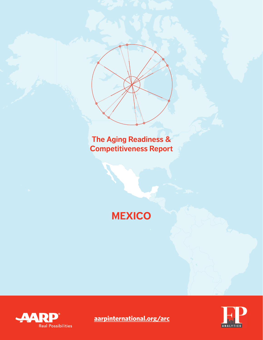**The Aging Readiness & Competitiveness Report**

**MEXICO**





**[aarpinternational.org/arc](http://aarpinternational.org/arc)**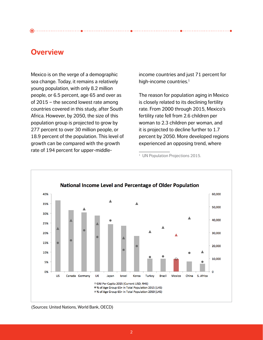# **Overview**

Mexico is on the verge of a demographic sea change. Today, it remains a relatively young population, with only 8.2 million people, or 6.5 percent, age 65 and over as of 2015 – the second lowest rate among countries covered in this study, after South Africa. However, by 2050, the size of this population group is projected to grow by 277 percent to over 30 million people, or 18.9 percent of the population. This level of growth can be compared with the growth rate of 194 percent for upper-middle-

income countries and just 71 percent for high-income countries.<sup>1</sup>

 $\bullet$  --------------------------

The reason for population aging in Mexico is closely related to its declining fertility rate. From 2000 through 2015, Mexico's fertility rate fell from 2.6 children per woman to 2.3 children per woman, and it is projected to decline further to 1.7 percent by 2050. More developed regions experienced an opposing trend, where

<sup>&</sup>lt;sup>1</sup> UN Population Projections 2015.



(Sources: United Nations, World Bank, OECD)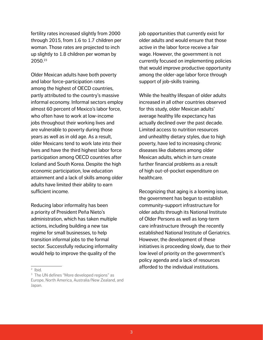fertility rates increased slightly from 2000 through 2015, from 1.6 to 1.7 children per woman. Those rates are projected to inch up slightly to 1.8 children per woman by 2050.23

Older Mexican adults have both poverty and labor force-participation rates among the highest of OECD countries, partly attributed to the country's massive informal economy. Informal sectors employ almost 60 percent of Mexico's labor force, who often have to work at low-income jobs throughout their working lives and are vulnerable to poverty during those years as well as in old age. As a result, older Mexicans tend to work late into their lives and have the third highest labor force participation among OECD countries after Iceland and South Korea. Despite the high economic participation, low education attainment and a lack of skills among older adults have limited their ability to earn sufficient income.

Reducing labor informality has been a priority of President Peña Nieto's administration, which has taken multiple actions, including building a new tax regime for small businesses, to help transition informal jobs to the formal sector. Successfully reducing informality would help to improve the quality of the

job opportunities that currently exist for older adults and would ensure that those active in the labor force receive a fair wage. However, the government is not currently focused on implementing policies that would improve productive opportunity among the older-age labor force through support of job-skills training.

While the healthy lifespan of older adults increased in all other countries observed for this study, older Mexican adults' average healthy life expectancy has actually declined over the past decade. Limited access to nutrition resources and unhealthy dietary styles, due to high poverty, have led to increasing chronic diseases like diabetes among older Mexican adults, which in turn create further financial problems as a result of high out-of-pocket expenditure on healthcare.

Recognizing that aging is a looming issue, the government has begun to establish community-support infrastructure for older adults through its National Institute of Older Persons as well as long-term care infrastructure through the recently established National Institute of Geriatrics. However, the development of these initiatives is proceeding slowly, due to their low level of priority on the government's policy agenda and a lack of resources afforded to the individual institutions.

<sup>2</sup> Ibid.

<sup>&</sup>lt;sup>3</sup> The UN defines "More developed regions" as Europe, North America, Australia/New Zealand, and Japan.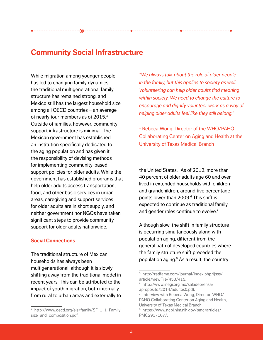While migration among younger people has led to changing family dynamics, the traditional multigenerational family structure has remained strong, and Mexico still has the largest household size among all OECD countries – an average of nearly four members as of 2015.4 Outside of families, however, community support infrastructure is minimal. The Mexican government has established an institution specifically dedicated to the aging population and has given it the responsibility of devising methods for implementing community-based support policies for older adults. While the government has established programs that help older adults access transportation, food, and other basic services in urban areas, caregiving and support services for older adults are in short supply, and neither government nor NGOs have taken significant steps to provide community support for older adults nationwide.

## **Social Connections**

The traditional structure of Mexican households has always been multigenerational, although it is slowly shifting away from the traditional model in recent years. This can be attributed to the impact of youth migration, both internally from rural to urban areas and externally to *"We always talk about the role of older people in the family, but this applies to society as well. Volunteering can help older adults find meaning within society. We need to change the culture to encourage and dignify volunteer work as a way of helping older adults feel like they still belong."* 

. . . . . . . . . . . . . . . . . . .

- Rebeca Wong, Director of the WHO/PAHO Collaborating Center on Aging and Health at the University of Texas Medical Branch

the United States.<sup>5</sup> As of 2012, more than 40 percent of older adults age 60 and over lived in extended households with children and grandchildren, around five percentage points lower than 2009.6 This shift is expected to continue as traditional family and gender roles continue to evolve.<sup>7</sup>

Although slow, the shift in family structure is occurring simultaneously along with population aging, different from the general path of developed countries where the family structure shift preceded the population aging.<sup>8</sup> As a result, the country

<sup>4</sup> http://www.oecd.org/els/family/SF\_1\_1\_Family\_ size\_and\_composition.pdf.

<sup>5</sup> http://redfame.com/journal/index.php/ijsss/ article/viewFile/453/415.

<sup>6</sup> http://www.inegi.org.mx/saladeprensa/ aproposito/2014/adultos0.pdf.

<sup>7</sup> Interview with Rebeca Wong, Director, WHO/ PAHO Collaborating Center on Aging and Health, University of Texas Medical Branch.

<sup>8</sup> https://www.ncbi.nlm.nih.gov/pmc/articles/ PMC2917107/.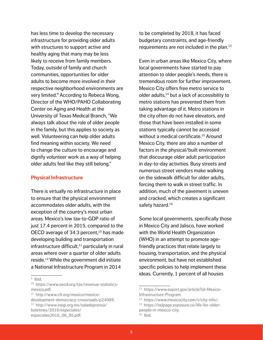has less time to develop the necessary infrastructure for providing older adults with structures to support active and healthy aging that many may be less likely to receive from family members. Today, outside of family and church communities, opportunities for older adults to become more involved in their respective neighborhood environments are very limited.<sup>9</sup> According to Rebeca Wong, Director of the WHO/PAHO Collaborating Center on Aging and Health at the University of Texas Medical Branch, "We always talk about the role of older people in the family, but this applies to society as well. Volunteering can help older adults find meaning within society. We need to change the culture to encourage and dignify volunteer work as a way of helping older adults feel like they still belong."

#### **Physical Infrastructure**

There is virtually no infrastructure in place to ensure that the physical environment accommodates older adults, with the exception of the country's most urban areas. Mexico's low tax-to-GDP ratio of just 17.4 percent in 2015, compared to the OECD average of 34.3 percent, $10$  has made developing building and transportation infrastructure difficult, $11$  particularly in rural areas where over a quarter of older adults reside.12 While the government did initiate a National Infrastructure Program in 2014

9 Ibid.

to be completed by 2018, it has faced budgetary constraints, and age-friendly requirements are not included in the plan.13

Even in urban areas like Mexico City, where local governments have started to pay attention to older people's needs, there is tremendous room for further improvement. Mexico City offers free metro service to older adults, $14$  but a lack of accessibility to metro stations has prevented them from taking advantage of it. Metro stations in the city often do not have elevators, and those that have been installed in some stations typically cannot be accessed without a medical certificate.<sup>15</sup> Around Mexico City, there are also a number of factors in the physical/built environment that discourage older adult participation in day-to-day activities. Busy streets and numerous street vendors make walking on the sidewalk difficult for older adults, forcing them to walk in street traffic. In addition, much of the pavement is uneven and cracked, which creates a significant safety hazard.<sup>16</sup>

Some local governments, specifically those in Mexico City and Jalisco, have worked with the World Health Organization (WHO) in an attempt to promote agefriendly practices that relate largely to housing, transportation, and the physical environment, but have not established specific policies to help implement these ideas. Currently, 1 percent of all houses

<sup>10</sup> https://www.oecd.org/tax/revenue-statisticsmexico.pdf.

<sup>11</sup> http://www.cfr.org/mexico/mexico-

development-democracy-crossroads/p24089. 12 http://www.inegi.org.mx/saladeprensa/ boletines/2016/especiales/

especiales2016\_06\_05.pdf.

<sup>13</sup> https://www.export.gov/article?id=Mexico-Infrastructure-Program.

<sup>14</sup> https://www.mexicocity.com/v/city-info/.

<sup>15</sup> https://helpage.exposure.co/life-for-olderpeople-in-mexico-city.

 $16$  Ibid.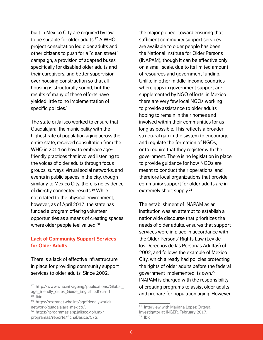built in Mexico City are required by law to be suitable for older adults.17 A WHO project consultation led older adults and other citizens to push for a "clean street" campaign, a provision of adapted buses specifically for disabled older adults and their caregivers, and better supervision over housing construction so that all housing is structurally sound, but the results of many of these efforts have yielded little to no implementation of specific policies.<sup>18</sup>

The state of Jalisco worked to ensure that Guadalajara, the municipality with the highest rate of population aging across the entire state, received consultation from the WHO in 2014 on how to embrace agefriendly practices that involved listening to the voices of older adults through focus groups, surveys, virtual social networks, and events in public spaces in the city, though similarly to Mexico City, there is no evidence of directly connected results.19 While not related to the physical environment, however, as of April 2017, the state has funded a program offering volunteer opportunities as a means of creating spaces where older people feel valued.<sup>20</sup>

## **Lack of Community Support Services for Older Adults**

There is a lack of effective infrastructure in place for providing community support services to older adults. Since 2002,

the major pioneer toward ensuring that sufficient community support services are available to older people has been the National Institute for Older Persons (INAPAM), though it can be effective only on a small scale, due to its limited amount of resources and government funding. Unlike in other middle-income countries where gaps in government support are supplemented by NGO efforts, in Mexico there are very few local NGOs working to provide assistance to older adults hoping to remain in their homes and involved within their communities for as long as possible. This reflects a broader structural gap in the system to encourage and regulate the formation of NGOs, or to require that they register with the government. There is no legislation in place to provide guidance for how NGOs are meant to conduct their operations, and therefore local organizations that provide community support for older adults are in extremely short supply.<sup>21</sup>

The establishment of INAPAM as an institution was an attempt to establish a nationwide discourse that prioritizes the needs of older adults, ensures that support services were in place in accordance with the Older Persons' Rights Law (Ley de los Derechos de las Personas Adultas) of 2002, and follows the example of Mexico City, which already had policies protecting the rights of older adults before the federal government implemented its own.22 INAPAM is charged with the responsibility of creating programs to assist older adults and prepare for population aging. However,

<sup>17</sup> http://www.who.int/ageing/publications/Global\_ age\_friendly\_cities\_Guide\_English.pdf?ua=1. 18 Ibid.

<sup>19</sup> https://extranet.who.int/agefriendlyworld/ network/guadalajara-mexico/.

<sup>20</sup> https://programas.app.jalisco.gob.mx/ programas/reporte/fichaBasica/572.

<sup>21</sup> Interview with Mariana Lopez Ortega, Investigator at INGER, February 2017.  $22$  Ibid.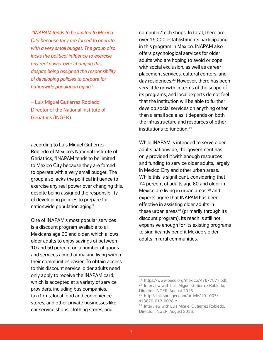*"INAPAM tends to be limited to Mexico City because they are forced to operate with a very small budget. The group also lacks the political influence to exercise any real power over changing this, despite being assigned the responsibility of developing policies to prepare for nationwide population aging."* 

– Luis Miguel Gutiérrez Robledo, Director of the National Institute of Geriatrics (INGER)

according to Luis Miguel Gutiérrez Robledo of Mexico's National Institute of Geriatrics, "INAPAM tends to be limited to Mexico City because they are forced to operate with a very small budget. The group also lacks the political influence to exercise any real power over changing this, despite being assigned the responsibility of developing policies to prepare for nationwide population aging."

One of INAPAM's most popular services is a discount program available to all Mexicans age 60 and older, which allows older adults to enjoy savings of between 10 and 50 percent on a number of goods and services aimed at making living within their communities easier. To obtain access to this discount service, older adults need only apply to receive the INAPAM card, which is accepted at a variety of service providers, including bus companies, taxi firms, local food and convenience stores, and other private businesses like car service shops, clothing stores, and

computer/tech shops. In total, there are over 15,000 establishments participating in this program in Mexico. INAPAM also offers psychological services for older adults who are hoping to avoid or cope with social exclusion, as well as careerplacement services, cultural centers, and day residences.<sup>23</sup> However, there has been very little growth in terms of the scope of its programs, and local experts do not feel that the institution will be able to further develop social services on anything other than a small scale as it depends on both the infrastructure and resources of other institutions to function.24

While INAPAM is intended to serve older adults nationwide, the government has only provided it with enough resources and funding to service older adults, largely in Mexico City and other urban areas. While this is significant, considering that 74 percent of adults age 60 and older in Mexico are living in urban areas, $25$  and experts agree that INAPAM has been effective in assisting older adults in these urban areas $26$  (primarily through its discount program), its reach is still not expansive enough for its existing programs to significantly benefit Mexico's older adults in rural communities.

<sup>23</sup> https://www.oecd.org/mexico/47877877.pdf.

<sup>&</sup>lt;sup>24</sup> Interview with Luis Miguel Gutierrez Robledo, Director, INGER, August 2016.

<sup>25</sup> http://link.springer.com/article/10.1007/ s13670-012-0028-z.

<sup>&</sup>lt;sup>26</sup> Interview with Luis Miguel Gutierrez Robledo, Director, INGER, August 2016.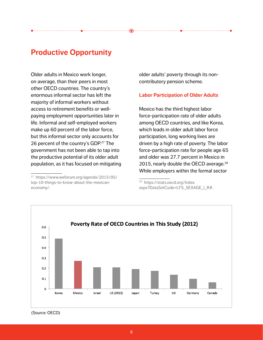# **Productive Opportunity**

Older adults in Mexico work longer, on average, than their peers in most other OECD countries. The country's enormous informal sector has left the majority of informal workers without access to retirement benefits or wellpaying employment opportunities later in life. Informal and self-employed workers make up 60 percent of the labor force, but this informal sector only accounts for 26 percent of the country's GDP.<sup>27</sup> The government has not been able to tap into the productive potential of its older adult population, as it has focused on mitigating older adults' poverty through its noncontributory pension scheme.

## **Labor Participation of Older Adults**

Mexico has the third highest labor force-participation rate of older adults among OECD countries, and like Korea, which leads in older adult labor force participation, long working lives are driven by a high rate of poverty. The labor force-participation rate for people age 65 and older was 27.7 percent in Mexico in 2015, nearly double the OECD average. $^{28}$ While employers within the formal sector

<sup>28</sup> https://stats.oecd.org/Index. aspx?DataSetCode=LFS\_SEXAGE\_I\_R#.



<sup>(</sup>Source: OECD)

<sup>27</sup> https://www.weforum.org/agenda/2015/05/ top-10-things-to-know-about-the-mexicaneconomy/.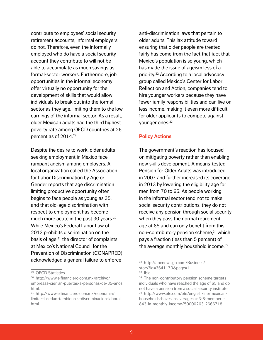contribute to employees' social security retirement accounts, informal employers do not. Therefore, even the informally employed who do have a social security account they contribute to will not be able to accumulate as much savings as formal-sector workers. Furthermore, job opportunities in the informal economy offer virtually no opportunity for the development of skills that would allow individuals to break out into the formal sector as they age, limiting them to the low earnings of the informal sector. As a result, older Mexican adults had the third highest poverty rate among OECD countries at 26 percent as of 2014.29

Despite the desire to work, older adults seeking employment in Mexico face rampant ageism among employers. A local organization called the Association for Labor Discrimination by Age or Gender reports that age discrimination limiting productive opportunity often begins to face people as young as 35, and that old-age discrimination with respect to employment has become much more acute in the past 30 years.<sup>30</sup> While Mexico's Federal Labor Law of 2012 prohibits discrimination on the basis of age, $31$  the director of complaints at Mexico's National Council for the Prevention of Discrimination (CONAPRED) acknowledged a general failure to enforce

anti-discrimination laws that pertain to older adults. This lax attitude toward ensuring that older people are treated fairly has come from the fact that fact that Mexico's population is so young, which has made the issue of ageism less of a priority.32 According to a local advocacy group called Mexico's Center for Labor Reflection and Action, companies tend to hire younger workers because they have fewer family responsibilities and can live on less income, making it even more difficult for older applicants to compete against younger ones.<sup>33</sup>

#### **Policy Actions**

The government's reaction has focused on mitigating poverty rather than enabling new skills development. A means-tested Pension for Older Adults was introduced in 2007 and further increased its coverage in 2013 by lowering the eligibility age for men from 70 to 65. As people working in the informal sector tend not to make social security contributions, they do not receive any pension through social security when they pass the normal retirement age at 65 and can only benefit from this non-contributory pension scheme,<sup>34</sup> which pays a fraction (less than 5 percent) of the average monthly household income.<sup>35</sup>

<sup>29</sup> OECD Statistics.

<sup>30</sup> http://www.elfinanciero.com.mx/archivo/ empresas-cierran-puertas-a-personas-de-35-anos. html.

<sup>31</sup> http://www.elfinanciero.com.mx/economia/ limitar-la-edad-tambien-es-discriminacion-laboral. html.

<sup>32</sup> http://abcnews.go.com/Business/

story?id=3641173&page=1.

 $33$  Ibid.

<sup>&</sup>lt;sup>34</sup> The non-contributory pension scheme targets individuals who have reached the age of 65 and do not have a pension from a social security institute. 35 http://www.efe.com/efe/english/life/mexicanhouseholds-have-an-average-of-3-8-members-843-in-monthly-income/50000263-2666718.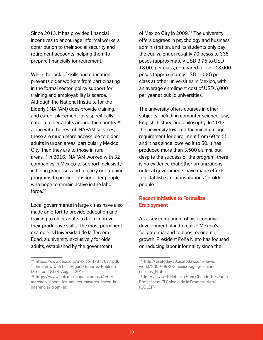Since 2013, it has provided financial incentives to encourage informal workers' contribution to their social security and retirement accounts, helping them to prepare financially for retirement.

While the lack of skills and education prevents older workers from participating in the formal sector, policy support for training and employability is scarce. Although the National Institute for the Elderly (INAPAM) does provide training, and career placement fairs specifically cater to older adults around the country,<sup>36</sup> along with the rest of INAPAM services, these are much more accessible to older adults in urban areas, particularly Mexico City, than they are to those in rural areas.37 In 2016, INAPAM worked with 32 companies in Mexico to support inclusivity in hiring processes and to carry out training programs to provide jobs for older people who hope to remain active in the labor force.38

Local governments in large cities have also made an effort to provide education and training to older adults to help improve their productive skills. The most prominent example is Universidad de la Tercera Edad, a university exclusively for older adults, established by the government

of Mexico City in 2009.<sup>39</sup> The university offers degrees in psychology and business administration, and its students only pay the equivalent of roughly 70 pesos to 335 pesos (approximately USD 3.75 to USD 18.00) per class, compared to over 18,000 pesos (approximately USD 1,000) per class at other universities in Mexico, with an average enrollment cost of USD 5,000 per year at public universities.

The university offers courses in other subjects, including computer science, law, English, history, and philosophy. In 2013, the university lowered the minimum age requirement for enrollment from 60 to 55, and it has since lowered it to 50. It has produced more than 3,500 alumni, but despite the success of the program, there is no evidence that other organizations or local governments have made efforts to establish similar institutions for older people.40

## **Recent Initiative to Formalize Employment**

As a key component of his economic development plan to realize Mexico's full potential and to boost economic growth, President Peña Nieto has focused on reducing labor informality since the

<sup>36</sup> https://www.oecd.org/mexico/47877877.pdf. <sup>37</sup> Interview with Luis Miquel Gutierrez Robledo,

Director, INGER, August 2016.

<sup>38</sup> https://www.gob.mx/inapam/prensa/en-elmercado-laboral-los-adultos-mayores-hacen-ladiferencia?idiom=es.

<sup>39</sup> http://usatoday30.usatoday.com/news/ world/2009-09-28-mexico-aging-seniorcitizens\_N.htm.

<sup>40</sup> Interview with Roberto Ham Chande, Research Professor at El Colegio de la Frontera Norte (COLEF).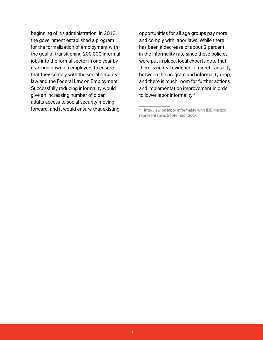beginning of his administration. In 2013, the government established a program for the formalization of employment with the goal of transitioning 200,000 informal jobs into the formal sector in one year by cracking down on employers to ensure that they comply with the social security law and the Federal Law on Employment. Successfully reducing informality would give an increasing number of older adults access to social security moving forward, and it would ensure that existing

opportunities for all age groups pay more and comply with labor laws. While there has been a decrease of about 2 percent in the informality rate since these policies were put in place, local experts note that there is no real evidence of direct causality between the program and informality drop, and there is much room for further actions and implementation improvement in order to lower labor informality.<sup>41</sup>

<sup>41</sup> Interview on labor informality with IDB Mexico representative, September 2016.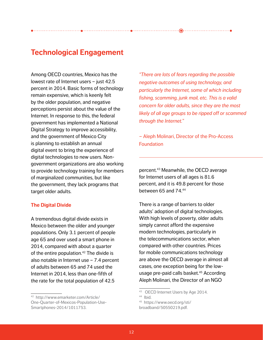Among OECD countries, Mexico has the lowest rate of Internet users – just 42.5 percent in 2014. Basic forms of technology remain expensive, which is keenly felt by the older population, and negative perceptions persist about the value of the Internet. In response to this, the federal government has implemented a National Digital Strategy to improve accessibility, and the government of Mexico City is planning to establish an annual digital event to bring the experience of digital technologies to new users. Nongovernment organizations are also working to provide technology training for members of marginalized communities, but like the government, they lack programs that target older adults.

## **The Digital Divide**

A tremendous digital divide exists in Mexico between the older and younger populations. Only 3.1 percent of people age 65 and over used a smart phone in 2014, compared with about a quarter of the entire population. $42$  The divide is also notable in Internet use – 7.4 percent of adults between 65 and 74 used the Internet in 2014, less than one-fifth of the rate for the total population of 42.5

*"There are lots of fears regarding the possible negative outcomes of using technology, and particularly the Internet, some of which including fishing, scamming, junk mail, etc. This is a valid concern for older adults, since they are the most likely of all age groups to be ripped off or scammed through the Internet."* 

 $\overline{\bullet}$  . . . . . . . . .

– Aleph Molinari, Director of the Pro-Access **Foundation** 

percent.43 Meanwhile, the OECD average for Internet users of all ages is 81.6 percent, and it is 49.8 percent for those between 65 and 74.44

There is a range of barriers to older adults' adoption of digital technologies. With high levels of poverty, older adults simply cannot afford the expensive modern technologies, particularly in the telecommunications sector, when compared with other countries. Prices for mobile communications technology are above the OECD average in almost all cases, one exception being for the lowusage pre-paid calls basket.<sup>45</sup> According Aleph Molinari, the Director of an NGO

<sup>42</sup> http://www.emarketer.com/Article/ One-Quarter-of-Mexicos-Population-Use-Smartphones-2014/1011753.

<sup>&</sup>lt;sup>43</sup> OECD Internet Users by Age 2014.

 $44$  Ibid.

<sup>45</sup> https://www.oecd.org/sti/ broadband/50550219.pdf.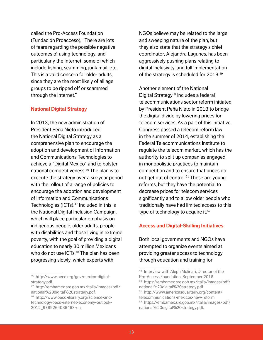called the Pro-Access Foundation (Fundación Proacceso), "There are lots of fears regarding the possible negative outcomes of using technology, and particularly the Internet, some of which include fishing, scamming, junk mail, etc. This is a valid concern for older adults, since they are the most likely of all age groups to be ripped off or scammed through the Internet."

#### **National Digital Strategy**

In 2013, the new administration of President Peña Nieto introduced the National Digital Strategy as a comprehensive plan to encourage the adoption and development of Information and Communications Technologies to achieve a "Digital Mexico" and to bolster national competitiveness.46 The plan is to execute the strategy over a six-year period with the rollout of a range of policies to encourage the adoption and development of Information and Communications Technologies (ICTs).<sup>47</sup> Included in this is the National Digital Inclusion Campaign, which will place particular emphasis on indigenous people, older adults, people with disabilities and those living in extreme poverty, with the goal of providing a digital education to nearly 30 million Mexicans who do not use ICTs.<sup>48</sup> The plan has been progressing slowly, which experts with

46 http://www.oecd.org/gov/mexico-digitalstrategy.pdf.

47 http://embamex.sre.gob.mx/italia/images/pdf/ national%20digital%20strategy.pdf.

NGOs believe may be related to the large and sweeping nature of the plan, but they also state that the strategy's chief coordinator, Alejandra Lagunes, has been aggressively pushing plans relating to digital inclusivity, and full implementation of the strategy is scheduled for 2018.49

Another element of the National Digital Strategy<sup>50</sup> includes a federal telecommunications sector reform initiated by President Peña Nieto in 2013 to bridge the digital divide by lowering prices for telecom services. As a part of this initiative, Congress passed a telecom reform law in the summer of 2014, establishing the Federal Telecommunications Institute to regulate the telecom market, which has the authority to split up companies engaged in monopolistic practices to maintain competition and to ensure that prices do not get out of control. $51$  These are young reforms, but they have the potential to decrease prices for telecom services significantly and to allow older people who traditionally have had limited access to this type of technology to acquire it.<sup>52</sup>

## **Access and Digital-Skilling Initiatives**

Both local governments and NGOs have attempted to organize events aimed at providing greater access to technology through education and training for

<sup>48</sup> http://www.oecd-ilibrary.org/science-andtechnology/oecd-internet-economy-outlook-2012\_9789264086463-en.

<sup>49</sup> Interview with Aleph Molinari, Director of the Pro-Access Foundation, September 2016. 50 https://embamex.sre.gob.mx/italia/images/pdf/ national%20digital%20strategy.pdf.

<sup>51</sup> http://www.americasquarterly.org/content/ telecommunications-mexicos-new-reform. 52 https://embamex.sre.gob.mx/italia/images/pdf/ national%20digital%20strategy.pdf.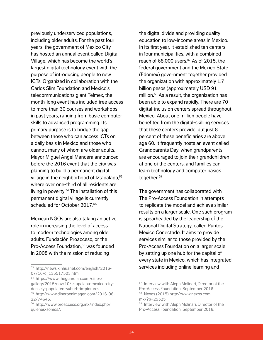previously underserviced populations, including older adults. For the past four years, the government of Mexico City has hosted an annual event called Digital Village, which has become the world's largest digital technology event with the purpose of introducing people to new ICTs. Organized in collaboration with the Carlos Slim Foundation and Mexico's telecommunications giant Telmex, the month-long event has included free access to more than 30 courses and workshops in past years, ranging from basic computer skills to advanced programming. Its primary purpose is to bridge the gap between those who can access ICTs on a daily basis in Mexico and those who cannot, many of whom are older adults. Mayor Miguel Angel Mancera announced before the 2016 event that the city was planning to build a permanent digital village in the neighborhood of Iztapalapa,<sup>53</sup> where over one-third of all residents are living in poverty.54 The installation of this permanent digital village is currently scheduled for October 2017.<sup>55</sup>

Mexican NGOs are also taking an active role in increasing the level of access to modern technologies among older adults. Fundación Proacceso, or the Pro-Access Foundation,<sup>56</sup> was founded in 2008 with the mission of reducing

the digital divide and providing quality education to low-income areas in Mexico. In its first year, it established ten centers in four municipalities, with a combined reach of  $68,000$  users.<sup>57</sup> As of 2015, the federal government and the Mexico State (Edomex) government together provided the organization with approximately 1.7 billion pesos (approximately USD 91 million.58 As a result, the organization has been able to expand rapidly. There are 70 digital-inclusion centers spread throughout Mexico. About one million people have benefited from the digital-skilling services that these centers provide, but just 8 percent of these beneficiaries are above age 60. It frequently hosts an event called Grandparents Day, when grandparents are encouraged to join their grandchildren at one of the centers, and families can learn technology and computer basics together.59

The government has collaborated with The Pro-Access Foundation in attempts to replicate the model and achieve similar results on a larger scale. One such program is spearheaded by the leadership of the National Digital Strategy, called Puntos Mexico Conectado. It aims to provide services similar to those provided by the Pro-Access Foundation on a larger scale by setting up one hub for the capital of every state in Mexico, which has integrated services including online learning and

<sup>53</sup> http://news.xinhuanet.com/english/2016- 07/16/c\_135517503.htm.

<sup>54</sup> https://www.theguardian.com/cities/ gallery/2015/nov/10/iztapalapa-mexico-citydensely-populated-suburb-in-pictures.

<sup>55</sup> http://www.dineroenimagen.com/2016-06- 22/74645.

<sup>56</sup> http://www.proacceso.org.mx/index.php/ quienes-somos/.

<sup>57</sup> Interview with Aleph Molinari, Director of the Pro-Access Foundation, September 2016.

<sup>58</sup> Nexos (2015) http://www.nexos.com. mx/?p=25525

<sup>59</sup> Interview with Aleph Molinari, Director of the Pro-Access Foundation, September 2016.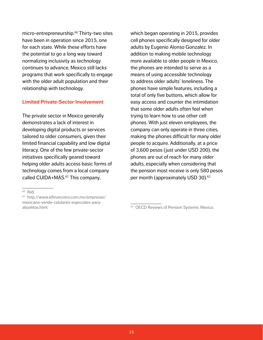micro-entrepreneurship.<sup>60</sup> Thirty-two sites have been in operation since 2015, one for each state. While these efforts have the potential to go a long way toward normalizing inclusivity as technology continues to advance, Mexico still lacks programs that work specifically to engage with the older adult population and their relationship with technology.

### **Limited Private-Sector Involvement**

The private sector in Mexico generally demonstrates a lack of interest in developing digital products or services tailored to older consumers, given their limited financial capability and low digital literacy. One of the few private-sector initiatives specifically geared toward helping older adults access basic forms of technology comes from a local company called CUIDA+MÁS. $61$  This company,

which began operating in 2015, provides cell phones specifically designed for older adults by Eugenio Alonso Gonzalez. In addition to making mobile technology more available to older people in Mexico, the phones are intended to serve as a means of using accessible technology to address older adults' loneliness. The phones have simple features, including a total of only five buttons, which allow for easy access and counter the intimidation that some older adults often feel when trying to learn how to use other cell phones. With just eleven employees, the company can only operate in three cities, making the phones difficult for many older people to acquire. Additionally, at a price of 3,600 pesos (just under USD 200), the phones are out of reach for many older adults, especially when considering that the pension most receive is only 580 pesos per month (approximately USD 30).<sup>62</sup>

 $60$  Ibid.

<sup>61</sup> http://www.elfinanciero.com.mx/empresas/ mexicano-vende-celulares-especiales-paraabuelitos.html.

<sup>&</sup>lt;sup>62</sup> OECD Reviews of Pension Systems: Mexico.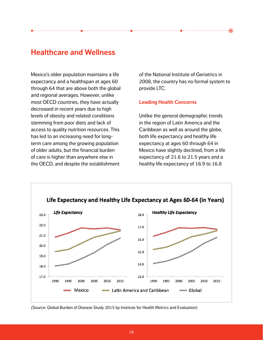# **Healthcare and Wellness**

Mexico's older population maintains a life expectancy and a healthspan at ages 60 through 64 that are above both the global and regional averages. However, unlike most OECD countries, they have actually decreased in recent years due to high levels of obesity and related conditions stemming from poor diets and lack of access to quality nutrition resources. This has led to an increasing need for longterm care among the growing population of older adults, but the financial burden of care is higher than anywhere else in the OECD, and despite the establishment

of the National Institute of Geriatrics in 2008, the country has no formal system to provide LTC.

#### **Leading Health Concerns**

Unlike the general demographic trends in the region of Latin America and the Caribbean as well as around the globe, both life expectancy and healthy life expectancy at ages 60 through 64 in Mexico have slightly declined, from a life expectancy of 21.6 to 21.5 years and a healthy life expectancy of 16.9 to 16.8



(Source: Global Burden of Disease Study 2015 by Institute for Health Metrics and Evaluation)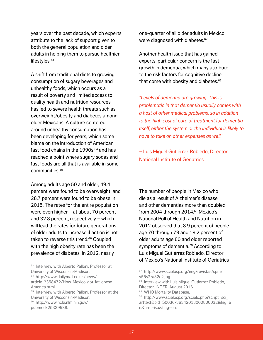years over the past decade, which experts attribute to the lack of support given to both the general population and older adults in helping them to pursue healthier lifestyles.<sup>63</sup>

A shift from traditional diets to growing consumption of sugary beverages and unhealthy foods, which occurs as a result of poverty and limited access to quality health and nutrition resources, has led to severe health threats such as overweight/obesity and diabetes among older Mexicans. A culture centered around unhealthy consumption has been developing for years, which some blame on the introduction of American fast food chains in the  $1990s$ ,  $64$  and has reached a point where sugary sodas and fast foods are all that is available in some communities.65

Among adults age 50 and older, 49.4 percent were found to be overweight, and 28.7 percent were found to be obese in 2015. The rates for the entire population were even higher – at about 70 percent and 32.8 percent, respectively – which will lead the rates for future generations of older adults to increase if action is not taken to reverse this trend.<sup>66</sup> Coupled with the high obesity rate has been the prevalence of diabetes. In 2012, nearly

<sup>63</sup> Interview with Alberto Palloni, Professor at University of Wisconsin-Madison.

64 http://www.dailymail.co.uk/news/ article-2358472/How-Mexico-got-fat-obese-America.html.

<sup>65</sup> Interview with Alberto Palloni, Professor at the University of Wisconsin-Madison.

pubmed/25339538.

one-quarter of all older adults in Mexico were diagnosed with diabetes.<sup>67</sup>

Another health issue that has gained experts' particular concern is the fast growth in dementia, which many attribute to the risk factors for cognitive decline that come with obesity and diabetes.<sup>68</sup>

*"Levels of dementia are growing. This is problematic in that dementia usually comes with a host of other medical problems, so in addition to the high cost of care of treatment for dementia itself, either the system or the individual is likely to have to take on other expenses as well."* 

– Luis Miguel Gutiérrez Robledo, Director, National Institute of Geriatrics

The number of people in Mexico who die as a result of Alzheimer's disease and other dementias more than doubled from 2004 through 2014.<sup>69</sup> Mexico's National Poll of Health and Nutrition in 2012 observed that 8.9 percent of people age 70 through 79 and 19.2 percent of older adults age 80 and older reported symptoms of dementia.<sup>70</sup> According to Luis Miguel Gutiérrez Robledo, Director of Mexico's National Institute of Geriatrics

<sup>66</sup> http://www.ncbi.nlm.nih.gov/

<sup>67</sup> http://www.scielosp.org/img/revistas/spm/ v55s2/a32c2.jpg.

<sup>68</sup> Interview with Luis Miguel Gutierrez Robledo, Director, INGER, August 2016.

<sup>&</sup>lt;sup>69</sup> WHO Mortality Database.

<sup>70</sup> http://www.scielosp.org/scielo.php?script=sci\_ arttext&pid=S0036-36342013000800032&lng=e n&nrm=iso&tlng=en.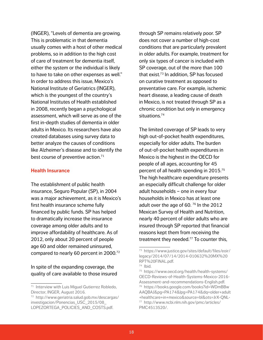(INGER), "Levels of dementia are growing. This is problematic in that dementia usually comes with a host of other medical problems, so in addition to the high cost of care of treatment for dementia itself, either the system or the individual is likely to have to take on other expenses as well." In order to address this issue, Mexico's National Institute of Geriatrics (INGER), which is the youngest of the country's National Institutes of Health established in 2008, recently began a psychological assessment, which will serve as one of the first in-depth studies of dementia in older adults in Mexico. Its researchers have also created databases using survey data to better analyze the causes of conditions like Alzheimer's disease and to identify the best course of preventive action.<sup>71</sup>

#### **Health Insurance**

The establishment of public health insurance, Seguro Popular (SP), in 2004 was a major achievement, as it is Mexico's first health insurance scheme fully financed by public funds. SP has helped to dramatically increase the insurance coverage among older adults and to improve affordability of healthcare. As of 2012, only about 20 percent of people age 60 and older remained uninsured, compared to nearly 60 percent in 2000.72

In spite of the expanding coverage, the quality of care available to those insured through SP remains relatively poor. SP does not cover a number of high-cost conditions that are particularly prevalent in older adults. For example, treatment for only six types of cancer is included with SP coverage, out of the more than 100 that exist.<sup>73</sup> In addition, SP has focused on curative treatment as opposed to preventative care. For example, ischemic heart disease, a leading cause of death in Mexico, is not treated through SP as a chronic condition but only in emergency situations.<sup>74</sup>

The limited coverage of SP leads to very high out-of-pocket health expenditures, especially for older adults. The burden of out-of-pocket health expenditures in Mexico is the highest in the OECD for people of all ages, accounting for 45 percent of all health spending in 2015.75 The high healthcare expenditure presents an especially difficult challenge for older adult households – one in every four households in Mexico has at least one adult over the age of 60.  $76$  In the 2012 Mexican Survey of Health and Nutrition, nearly 40 percent of older adults who are insured through SP reported that financial reasons kept them from receiving the treatment they needed.<sup>77</sup> To counter this,

<sup>71</sup> Interview with Luis Miguel Gutierrez Robledo, Director, INGER, August 2016.

<sup>72</sup> http://www.geriatria.salud.gob.mx/descargas/ investigacion/Ponencias\_USC\_2015/08\_ LOPEZORTEGA\_POLICIES\_AND\_COSTS.pdf.

<sup>73</sup> https://www.justice.gov/sites/default/files/eoir/ legacy/2014/07/14/2014-010632%20MX%20 RPT%20FINAL.pdf.

<sup>74</sup> Ibid.

<sup>75</sup> https://www.oecd.org/health/health-systems/ OECD-Reviews-of-Health-Systems-Mexico-2016- Assessment-and-recommendations-English.pdf. 76 https://books.google.com/books?id=WDmBBw AAQBAJ&pg=PA174&lpg=PA174&dq=older+adult +healthcare+in+mexico&source=bl&ots=JrX-QNL-77 http://www.ncbi.nlm.nih.gov/pmc/articles/ PMC4513520/.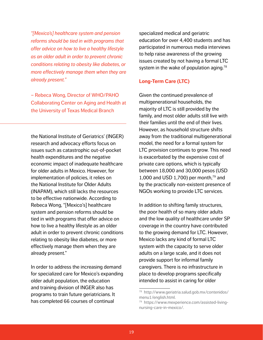*"[Mexico's] healthcare system and pension reforms should be tied in with programs that offer advice on how to live a healthy lifestyle as an older adult in order to prevent chronic conditions relating to obesity like diabetes, or more effectively manage them when they are already present."* 

– Rebeca Wong, Director of WHO/PAHO Collaborating Center on Aging and Health at the University of Texas Medical Branch

the National Institute of Geriatrics' (INGER) research and advocacy efforts focus on issues such as catastrophic out-of-pocket health expenditures and the negative economic impact of inadequate healthcare for older adults in Mexico. However, for implementation of policies, it relies on the National Institute for Older Adults (INAPAM), which still lacks the resources to be effective nationwide. According to Rebeca Wong, "[Mexico's] healthcare system and pension reforms should be tied in with programs that offer advice on how to live a healthy lifestyle as an older adult in order to prevent chronic conditions relating to obesity like diabetes, or more effectively manage them when they are already present."

In order to address the increasing demand for specialized care for Mexico's expanding older adult population, the education and training division of INGER also has programs to train future geriatricians. It has completed 66 courses of continual

specialized medical and geriatric education for over 4,400 students and has participated in numerous media interviews to help raise awareness of the growing issues created by not having a formal LTC system in the wake of population aging.<sup>78</sup>

## **Long-Term Care (LTC)**

Given the continued prevalence of multigenerational households, the majority of LTC is still provided by the family, and most older adults still live with their families until the end of their lives. However, as household structure shifts away from the traditional multigenerational model, the need for a formal system for LTC provision continues to grow. This need is exacerbated by the expensive cost of private care options, which is typically between 18,000 and 30,000 pesos (USD 1,000 and USD 1,700) per month, $^{79}$  and by the practically non-existent presence of NGOs working to provide LTC services.

In addition to shifting family structures, the poor health of so many older adults and the low quality of healthcare under SP coverage in the country have contributed to the growing demand for LTC. However, Mexico lacks any kind of formal LTC system with the capacity to serve older adults on a large scale, and it does not provide support for informal family caregivers. There is no infrastructure in place to develop programs specifically intended to assist in caring for older

<sup>78</sup> http://www.geriatria.salud.gob.mx/contenidos/ menu1/english.html.

<sup>79</sup> https://www.mexperience.com/assisted-livingnursing-care-in-mexico/.